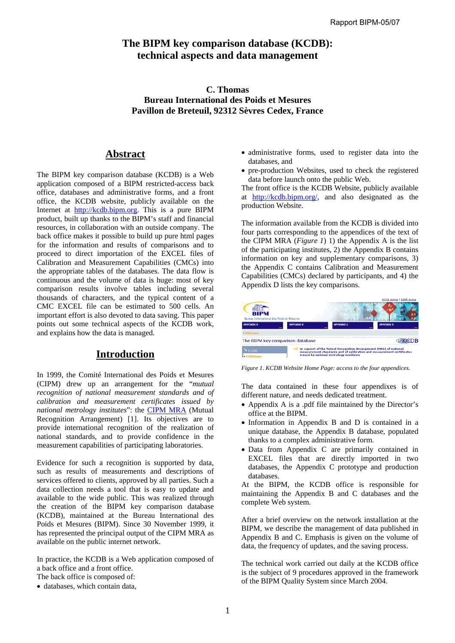# **The BIPM key comparison database (KCDB): technical aspects and data management**

## **C. Thomas Bureau International des Poids et Mesures Pavillon de Breteuil, 92312 Sèvres Cedex, France**

# **Abstract**

The BIPM key comparison database (KCDB) is a Web application composed of a BIPM restricted-access back office, databases and administrative forms, and a front office, the KCDB website, publicly available on the Internet at [http://kcdb.bipm.org.](http://kcdb.bipm.org) This is a pure BIPM product, built up thanks to the BIPM's staff and financial resources, in collaboration with an outside company. The back office makes it possible to build up pure html pages for the information and results of comparisons and to proceed to direct importation of the EXCEL files of Calibration and Measurement Capabilities (CMCs) into the appropriate tables of the databases. The data flow is continuous and the volume of data is huge: most of key comparison results involve tables including several thousands of characters, and the typical content of a CMC EXCEL file can be estimated to 500 cells. An important effort is also devoted to data saving. This paper points out some technical aspects of the KCDB work, and explains how the data is managed.

# **Introduction**

In 1999, the Comité International des Poids et Mesures (CIPM) drew up an arrangement for the "*mutual recognition of national measurement standards and of calibration and measurement certificates issued by national metrology institutes*": the [CIPM MRA](https://www.bipm.org/en/convention/mra/mra_online.html) (Mutual Recognition Arrangement) [1]. Its objectives are to provide international recognition of the realization of national standards, and to provide confidence in the measurement capabilities of participating laboratories.

Evidence for such a recognition is supported by data, such as results of measurements and descriptions of services offered to clients, approved by all parties. Such a data collection needs a tool that is easy to update and available to the wide public. This was realized through the creation of the BIPM key comparison database (KCDB), maintained at the Bureau International des Poids et Mesures (BIPM). Since 30 November 1999, it has represented the principal output of the CIPM MRA as available on the public internet network.

In practice, the KCDB is a Web application composed of a back office and a front office.

- The back office is composed of:
- databases, which contain data,
- administrative forms, used to register data into the databases, and
- pre-production Websites, used to check the registered data before launch onto the public Web.

The front office is the KCDB Website, publicly available at [http://kcdb.bipm.org/,](http://kcdb.bipm.org/) and also designated as the production Website.

The information available from the KCDB is divided into four parts corresponding to the appendices of the text of the CIPM MRA (*Figure 1*) 1) the Appendix A is the list of the participating institutes, 2) the Appendix B contains information on key and supplementary comparisons, 3) the Appendix C contains Calibration and Measurement Capabilities (CMCs) declared by participants, and 4) the Appendix D lists the key comparisons.



*Figure 1. KCDB Website Home Page: access to the four appendices.* 

The data contained in these four appendixes is of different nature, and needs dedicated treatment.

- Appendix A is a .pdf file maintained by the Director's office at the BIPM.
- Information in Appendix B and D is contained in a unique database, the Appendix B database, populated thanks to a complex administrative form.
- Data from Appendix C are primarily contained in EXCEL files that are directly imported in two databases, the Appendix C prototype and production databases.

At the BIPM, the KCDB office is responsible for maintaining the Appendix B and C databases and the complete Web system.

After a brief overview on the network installation at the BIPM, we describe the management of data published in Appendix B and C. Emphasis is given on the volume of data, the frequency of updates, and the saving process.

The technical work carried out daily at the KCDB office is the subject of 9 procedures approved in the framework of the BIPM Quality System since March 2004.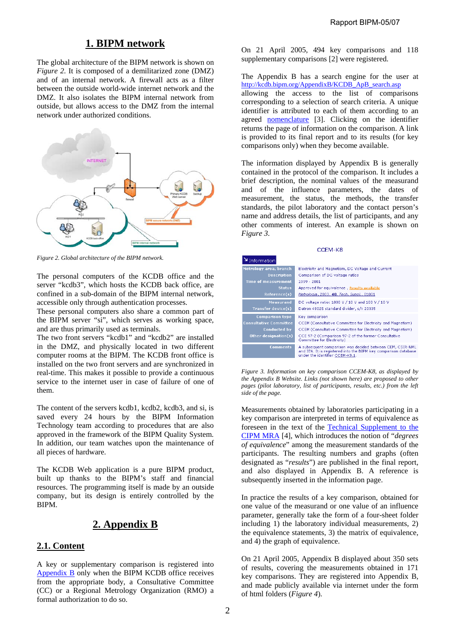## **1. BIPM network**

The global architecture of the BIPM network is shown on *Figure 2*. It is composed of a demilitarized zone (DMZ) and of an internal network. A firewall acts as a filter between the outside world-wide internet network and the DMZ. It also isolates the BIPM internal network from outside, but allows access to the DMZ from the internal network under authorized conditions.



*Figure 2. Global architecture of the BIPM network.* 

The personal computers of the KCDB office and the server "kcdb3", which hosts the KCDB back office, are confined in a sub-domain of the BIPM internal network, accessible only through authentication processes.

These personal computers also share a common part of the BIPM server "si", which serves as working space, and are thus primarily used as terminals.

The two front servers "kcdb1" and "kcdb2" are installed in the DMZ, and physically located in two different computer rooms at the BIPM. The KCDB front office is installed on the two front servers and are synchronized in real-time. This makes it possible to provide a continuous service to the internet user in case of failure of one of them.

The content of the servers kcdb1, kcdb2, kcdb3, and si, is saved every 24 hours by the BIPM Information Technology team according to procedures that are also approved in the framework of the BIPM Quality System. In addition, our team watches upon the maintenance of all pieces of hardware.

The KCDB Web application is a pure BIPM product, built up thanks to the BIPM's staff and financial resources. The programming itself is made by an outside company, but its design is entirely controlled by the BIPM.

# **2. Appendix B**

## **2.1. Content**

A key or supplementary comparison is registered into [Appendix B on](http://kcdb.bipm.org/appendixB/default.asp)ly when the BIPM KCDB office receives from the appropriate body, a Consultative Committee (CC) or a Regional Metrology Organization (RMO) a formal authorization to do so.

On 21 April 2005, 494 key comparisons and 118 supplementary comparisons [2] were registered.

The Appendix B has a search engine for the user at [http://kcdb.bipm.org/AppendixB/KCDB\\_ApB\\_search.asp](http://kcdb.bipm.org/AppendixB/KCDB_ApB_search.asp) allowing the access to the list of comparisons corresponding to a selection of search criteria. A unique identifier is attributed to each of them according to an agreed [nomenclature](https://www.bipm.org/utils/en/pdf/nomenclature.pdf) [3]. Clicking on the identifier returns the page of information on the comparison. A link is provided to its final report and to its results (for key comparisons only) when they become available.

The information displayed by Appendix B is generally contained in the protocol of the comparison. It includes a brief description, the nominal values of the measurand and of the influence parameters, the dates of measurement, the status, the methods, the transfer standards, the pilot laboratory and the contact person's name and address details, the list of participants, and any other comments of interest. An example is shown on *Figure 3*.

| CCEM-K8                                                                                                     |                                                                                                                                                                                                                                    |  |  |  |
|-------------------------------------------------------------------------------------------------------------|------------------------------------------------------------------------------------------------------------------------------------------------------------------------------------------------------------------------------------|--|--|--|
| Information                                                                                                 |                                                                                                                                                                                                                                    |  |  |  |
| Metrology area, branch<br><b>Description</b><br><b>Time of measurement</b><br><b>Status</b><br>Reference(s) | Electricity and Magnetism, DC Voltage and Current<br>Comparison of DC voltage ratios<br>1999 - 2001<br>Approved for equivalence, Results available<br>Metrologia, 2003, 40, Tech. Suppl., 01001                                    |  |  |  |
| <b>Measurand</b><br>Transfer device(s)                                                                      | DC voltage ratio: 1000 V / 10 V and 100 V / 10 V<br>Datron 4902S standard divider, s/n 20335                                                                                                                                       |  |  |  |
| <b>Comparison type</b><br><b>Consultative Committee</b><br><b>Conducted by</b><br>Other designation(s)      | Key comparison<br>CCEM (Consultative Committee for Electricity and Magnetism)<br>CCEM (Consultative Committee for Electricity and Magnetism)<br>CCE 97-2 (Comparison 97-2 of the former Consultative<br>Committee for Electricity) |  |  |  |
| <b>Comments</b>                                                                                             | A subsequent comparison was decided between CEM, CSIR-NML<br>and IEN. It is registered into the BIPM key comparison database<br>under the identifier CCEM-K8.1.                                                                    |  |  |  |

*Figure 3. Information on key comparison CCEM-K8, as displayed by the Appendix B Website. Links (not shown here) are proposed to other pages (pilot laboratory, list of participants, results, etc.) from the left side of the page.* 

Measurements obtained by laboratories participating in a key comparison are interpreted in terms of equivalence as [foreseen in the text of the Technical Supplement to the](https://www.bipm.org/utils/en/pdf/mra_techsuppl2003.pdf)  CIPM MRA [4], which introduces the notion of "*degrees of equivalence*" among the measurement standards of the participants. The resulting numbers and graphs (often designated as "*results*") are published in the final report, and also displayed in Appendix B. A reference is subsequently inserted in the information page.

In practice the results of a key comparison, obtained for one value of the measurand or one value of an influence parameter, generally take the form of a four-sheet folder including 1) the laboratory individual measurements, 2) the equivalence statements, 3) the matrix of equivalence, and 4) the graph of equivalence.

On 21 April 2005, Appendix B displayed about 350 sets of results, covering the measurements obtained in 171 key comparisons. They are registered into Appendix B, and made publicly available via internet under the form of html folders (*Figure 4*).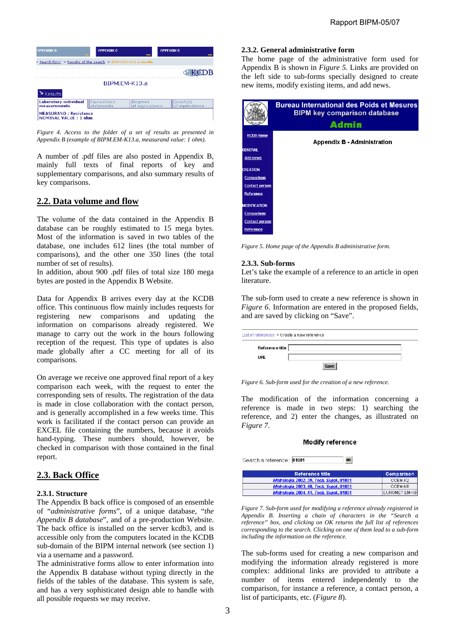

*Figure 4. Access to the folder of a set of results as presented in Appendix B (example of BIPM.EM-K13.a, measurand value: 1 ohm).* 

A number of .pdf files are also posted in Appendix B, mainly full texts of final reports of key and supplementary comparisons, and also summary results of key comparisons.

## **2.2. Data volume and flow**

The volume of the data contained in the Appendix B database can be roughly estimated to 15 mega bytes. Most of the information is saved in two tables of the database, one includes 612 lines (the total number of comparisons), and the other one 350 lines (the total number of set of results).

In addition, about 900 .pdf files of total size 180 mega bytes are posted in the Appendix B Website.

Data for Appendix B arrives every day at the KCDB office. This continuous flow mainly includes requests for registering new comparisons and updating the information on comparisons already registered. We manage to carry out the work in the hours following reception of the request. This type of updates is also made globally after a CC meeting for all of its comparisons.

On average we receive one approved final report of a key comparison each week, with the request to enter the corresponding sets of results. The registration of the data is made in close collaboration with the contact person, and is generally accomplished in a few weeks time. This work is facilitated if the contact person can provide an EXCEL file containing the numbers, because it avoids hand-typing. These numbers should, however, be checked in comparison with those contained in the final report.

## **2.3. Back Office**

### **2.3.1. Structure**

The Appendix B back office is composed of an ensemble of "*administrative forms*", of a unique database, "*the Appendix B database*", and of a pre-production Website. The back office is installed on the server kcdb3, and is accessible only from the computers located in the KCDB sub-domain of the BIPM internal network (see section 1) via a username and a password.

The administrative forms allow to enter information into the Appendix B database without typing directly in the fields of the tables of the database. This system is safe, and has a very sophisticated design able to handle with all possible requests we may receive.

### **2.3.2. General administrative form**

The home page of the administrative form used for Appendix B is shown in *Figure 5*. Links are provided on the left side to sub-forms specially designed to create new items, modify existing items, and add news.

|                       | <b>Bureau International des Poids et Mesures</b><br><b>BIPM key comparison database</b> |
|-----------------------|-----------------------------------------------------------------------------------------|
|                       | <b>Admin</b>                                                                            |
| <b>KCDB Home</b>      | <b>Appendix B - Administration</b>                                                      |
| <b>GENERAL</b>        |                                                                                         |
| <b>Add news</b>       |                                                                                         |
| <b>CREATION</b>       |                                                                                         |
| <b>Comparison</b>     |                                                                                         |
| <b>Contact person</b> |                                                                                         |
| Reference             |                                                                                         |
| <b>MODIFICATION</b>   |                                                                                         |
| <b>Comparison</b>     |                                                                                         |
| <b>Contact person</b> |                                                                                         |
| Reference             |                                                                                         |

*Figure 5. Home page of the Appendix B administrative form.* 

### **2.3.3. Sub-forms**

Let's take the example of a reference to an article in open **literature** 

The sub-form used to create a new reference is shown in *Figure 6*. Information are entered in the proposed fields, and are saved by clicking on "Save".

| List of references > Create a new reference |      |  |
|---------------------------------------------|------|--|
| Reference title                             |      |  |
| URL                                         |      |  |
|                                             | Save |  |

*Figure 6. Sub-form used for the creation of a new reference.* 

The modification of the information concerning a reference is made in two steps: 1) searching the reference, and 2) enter the changes, as illustrated on *Figure 7*.

#### Modify reference

Search a reference : 01001

| <b>Reference title</b>                    | Comparison    |  |
|-------------------------------------------|---------------|--|
| Metrologia, 2002, 39, Tech. Suppl., 01001 | CCEM-K2       |  |
| Metrologia, 2003, 40, Tech. Suppl., 01001 | CCEM-K8       |  |
| Metrologia, 2004, 41, Tech. Suppl., 01001 | EUROMET.EM-K8 |  |

*Figure 7. Sub-form used for modifying a reference already registered in Appendix B. Inserting a chain of characters in the "Search a reference" box, and clicking on OK returns the full list of references corresponding to the search. Clicking on one of them lead to a sub-form including the information on the reference.* 

The sub-forms used for creating a new comparison and modifying the information already registered is more complex: additional links are provided to attribute a number of items entered independently to the comparison, for instance a reference, a contact person, a list of participants, etc. (*Figure 8*).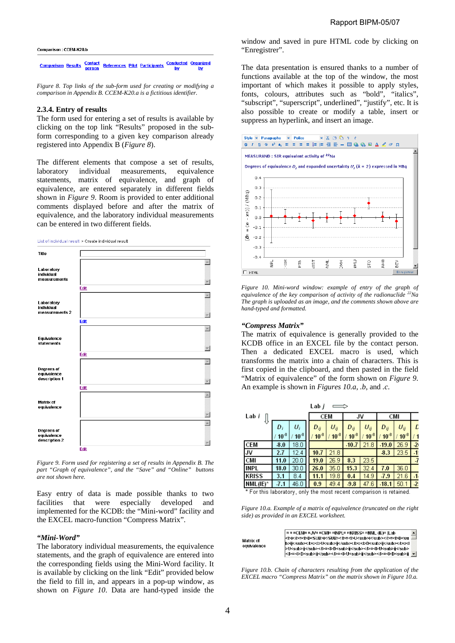Comparison: CCEM-K20.b



*Figure 8. Top links of the sub-form used for creating or modifying a comparison in Appendix B. CCEM-K20.a is a fictitious identifier.*

#### **2.3.4. Entry of results**

The form used for entering a set of results is available by clicking on the top link "Results" proposed in the subform corresponding to a given key comparison already registered into Appendix B (*Figure 8*).

The different elements that compose a set of results, laboratory individual measurements, equivalence statements, matrix of equivalence, and graph of equivalence, are entered separately in different fields shown in *Figure 9*. Room is provided to enter additional comments displayed before and after the matrix of equivalence, and the laboratory individual measurements can be entered in two different fields.

List of individual result > Create individual result



*Figure 9. Form used for registering a set of results in Appendix B. The part "Graph of equivalence", and the "Save" and "Online" buttons are not shown here.*

Easy entry of data is made possible thanks to two facilities that were especially developed and implemented for the KCDB: the "Mini-word" facility and the EXCEL macro-function "Compress Matrix".

#### *"Mini-Word"*

The laboratory individual measurements, the equivalence statements, and the graph of equivalence are entered into the corresponding fields using the Mini-Word facility. It is available by clicking on the link "Edit" provided below the field to fill in, and appears in a pop-up window, as shown on *Figure 10*. Data are hand-typed inside the window and saved in pure HTML code by clicking on "Enregistrer".

The data presentation is ensured thanks to a number of functions available at the top of the window, the most important of which makes it possible to apply styles, fonts, colours, attributes such as "bold", "italics", "subscript", "superscript", underlined", "justify", etc. It is also possible to create or modify a table, insert or suppress an hyperlink, and insert an image.



*Figure 10. Mini-word window: example of entry of the graph of equivalence of the key comparison of activity of the radionuclide 22Na The graph is uploaded as an image, and the comments shown above are hand-typed and formatted.*

#### *"Compress Matrix"*

The matrix of equivalence is generally provided to the KCDB office in an EXCEL file by the contact person. Then a dedicated EXCEL macro is used, which transforms the matrix into a chain of characters. This is first copied in the clipboard, and then pasted in the field "Matrix of equivalence" of the form shown on *Figure 9*. An example is shown in *Figures 10.a*, *.b*, and *.c*.

| Lab <i>j</i> |                       |           |  |            |           |           |           |           |           |      |
|--------------|-----------------------|-----------|--|------------|-----------|-----------|-----------|-----------|-----------|------|
| Lab i        |                       |           |  | <b>CEM</b> |           | JV        |           | CMI       |           |      |
|              | $\frac{D_i}{10^{-8}}$ | U,        |  | Dij        | $U_{ij}$  | Dij       | $U_{ij}$  | Dij       | $U_{ij}$  | L    |
|              |                       | $10^{-8}$ |  | $10^{-8}$  | $10^{-8}$ | $10^{-8}$ | $10^{-8}$ | $10^{-8}$ | $10^{-8}$ |      |
| <b>CEM</b>   | 3.0                   | 18.0      |  |            |           | $-10.7$   | 21.8      | $-19.0$   | 26.9      | $-2$ |
| IJV          | 2.7                   | 12.4      |  | 10.7       | 21.8      |           |           | 8.3       | 23.5      | $-1$ |
| CMI          | 11.0                  | 20.0      |  | 19.0       | 26.9      | 8.3       | 23.5      |           |           | -7   |
| <b>INPL</b>  | 18.0                  | 30.0      |  | 26.0       | 35.0      | 15.3      | 32.4      | 7.0       | 36.0      |      |
| <b>KRISS</b> | 3.1                   | 8.4       |  | 11.1       | 19.8      | 0.4       | 14.9      | $-7.9$    | 21.6      | $-1$ |
| $NML(IE)^*$  | $-7.1$                | 46.0      |  | 0.9        | 49.4      | 9.8       | 47.6      | $-18.1$   | 50.1      | $-2$ |

\* For this laboratory, only the most recent comparison is retained.

*Figure 10.a. Example of a matrix of equivalence (truncated on the right side) as provided in an EXCEL worksheet.* 

| Matrix of<br>equivalence | = = = CEM = = JV = = CM = = INPL = = KRISS = = NML (IE) =   Lab<br>b>ij¤ <l>U<sub>ij</sub></l> = <l>b&gt;</l> >= <l>D<sub>ij</sub></l> = <l< th=""></l<> |
|--------------------------|----------------------------------------------------------------------------------------------------------------------------------------------------------|
|                          | >U <sub>ij</sub> ¤ <l>D<sub>ij</sub></l> ¤ <l>U<sub>ij</sub></l>                                                                                         |
|                          | >¤< >D <sub>ij</sub> >>>>>/>>>U <sub>ij</sub> >>>>P <sub>ij<!--</td--></sub>                                                                             |

*Figure 10.b. Chain of characters resulting from the application of the EXCEL macro "Compress Matrix" on the matrix shown in Figure 10.a.*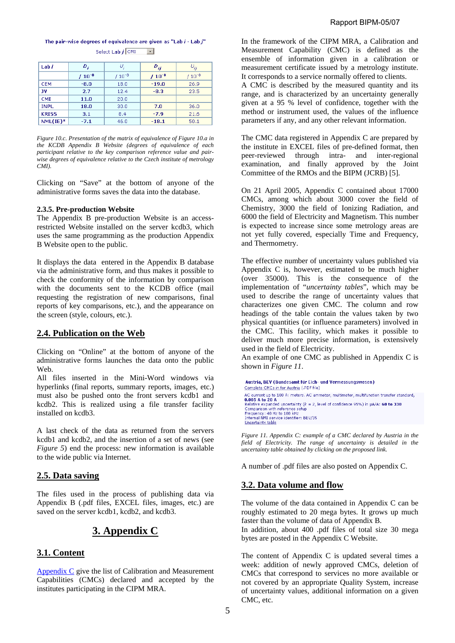$D_i$  $U_i$ Lab /  $D_{ij}$  $U_{ij}$  $/ 10^{-8}$  $/ 10^{-8}$  $/ 10^{-8}$  $/ 10^{-8}$  $CFM$  $-8.0$  $18.0$  $-19.0$  $26.9$ TV.  $2.7$  $12.4$  $-8.3$ 23.5  $CMI$  $11.0$  $20.0$ **TNPL** 18.0  $30.0$  $7.0$ 36.0 **KRISS**  $3.1$  $8.4$  $-7.9$  $21.6$  $NML(IE)^*$  $46.0$  $-7.1$  $-18.1$ 50.1

The pair-wise degrees of equivalence are given as "Lab  $i$  - Lab  $j$ " Select Lab j CMI  $\overline{\phantom{a}}$ 

*Figure 10.c. Presentation of the matrix of equivalence of Figure 10.a in the KCDB Appendix B Website (degrees of equivalence of each participant relative to the key comparison reference value and pairwise degrees of equivalence relative to the Czech institute of metrology CMI).* 

Clicking on "Save" at the bottom of anyone of the administrative forms saves the data into the database.

#### **2.3.5. Pre-production Website**

The Appendix B pre-production Website is an accessrestricted Website installed on the server kcdb3, which uses the same programming as the production Appendix B Website open to the public.

It displays the data entered in the Appendix B database via the administrative form, and thus makes it possible to check the conformity of the information by comparison with the documents sent to the KCDB office (mail requesting the registration of new comparisons, final reports of key comparisons, etc.), and the appearance on the screen (style, colours, etc.).

### **2.4. Publication on the Web**

Clicking on "Online" at the bottom of anyone of the administrative forms launches the data onto the public Web.

All files inserted in the Mini-Word windows via hyperlinks (final reports, summary reports, images, etc.) must also be pushed onto the front servers kcdb1 and kcdb2. This is realized using a file transfer facility installed on kcdb3.

A last check of the data as returned from the servers kcdb1 and kcdb2, and the insertion of a set of news (see *Figure 5*) end the process: new information is available to the wide public via Internet.

### **2.5. Data saving**

The files used in the process of publishing data via Appendix B (.pdf files, EXCEL files, images, etc.) are saved on the server kcdb1, kcdb2, and kcdb3.

# **3. Appendix C**

### **3.1. Content**

[Appendix C g](http://kcdb.bipm.org/appendixC/default.asp)ive the list of Calibration and Measurement Capabilities (CMCs) declared and accepted by the institutes participating in the CIPM MRA.

In the framework of the CIPM MRA, a Calibration and Measurement Capability (CMC) is defined as the ensemble of information given in a calibration or measurement certificate issued by a metrology institute. It corresponds to a service normally offered to clients.

A CMC is described by the measured quantity and its range, and is characterized by an uncertainty generally given at a 95 % level of confidence, together with the method or instrument used, the values of the influence parameters if any, and any other relevant information.

The CMC data registered in Appendix C are prepared by the institute in EXCEL files of pre-defined format, then peer-reviewed through intra- and inter-regional examination, and finally approved by the Joint Committee of the RMOs and the BIPM (JCRB) [5].

On 21 April 2005, Appendix C contained about 17000 CMCs, among which about 3000 cover the field of Chemistry, 3000 the field of Ionizing Radiation, and 6000 the field of Electricity and Magnetism. This number is expected to increase since some metrology areas are not yet fully covered, especially Time and Frequency, and Thermometry.

The effective number of uncertainty values published via Appendix C is, however, estimated to be much higher (over 35000). This is the consequence of the implementation of "*uncertainty tables*", which may be used to describe the range of uncertainty values that characterizes one given CMC. The column and row headings of the table contain the values taken by two physical quantities (or influence parameters) involved in the CMC. This facility, which makes it possible to deliver much more precise information, is extensively used in the field of Electricity.

An example of one CMC as published in Appendix C is shown in *Figure 11*.

```
Austria, BEV (Bundesamt für Eich- und Vermessungswesen)
Complete CMCs in for Austria (.PDF file)
AC current up to 100 A: meters. AC ammeter, multimeter, multifunction transfer standard,
AC current up to 100 A: meters. AC ammeter, multimeter, multifunction transfer star<br>0.005 A to 20 A<br>Relative expanded uncertainty (k = 2, level of confidence 95%) in µA/A: 60 to 330<br>Comparison with reference setup<br>Frequen
```
*Figure 11. Appendix C: example of a CMC declared by Austria in the field of Electricity. The range of uncertainty is detailed in the uncertainty table obtained by clicking on the proposed link.* 

A number of .pdf files are also posted on Appendix C.

## **3.2. Data volume and flow**

The volume of the data contained in Appendix C can be roughly estimated to 20 mega bytes. It grows up much faster than the volume of data of Appendix B.

In addition, about 400 .pdf files of total size 30 mega bytes are posted in the Appendix C Website.

The content of Appendix C is updated several times a week: addition of newly approved CMCs, deletion of CMCs that correspond to services no more available or not covered by an appropriate Quality System, increase of uncertainty values, additional information on a given CMC, etc.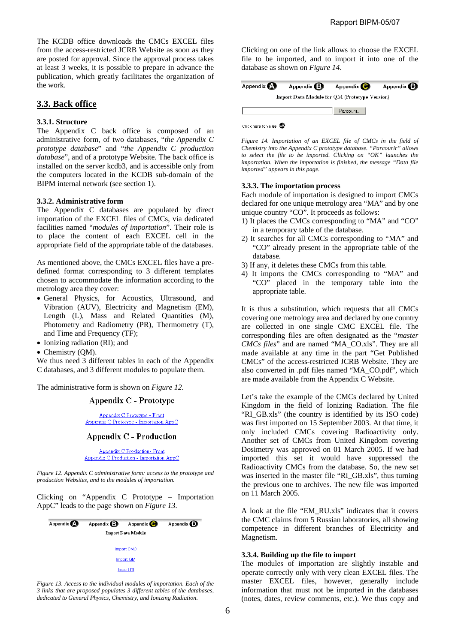The KCDB office downloads the CMCs EXCEL files from the access-restricted JCRB Website as soon as they are posted for approval. Since the approval process takes at least 3 weeks, it is possible to prepare in advance the publication, which greatly facilitates the organization of the work.

## **3.3. Back office**

### **3.3.1. Structure**

The Appendix C back office is composed of an administrative form, of two databases, "*the Appendix C prototype database*" and "*the Appendix C production database*", and of a prototype Website. The back office is installed on the server kcdb3, and is accessible only from the computers located in the KCDB sub-domain of the BIPM internal network (see section 1).

#### **3.3.2. Administrative form**

The Appendix C databases are populated by direct importation of the EXCEL files of CMCs, via dedicated facilities named "*modules of importation*". Their role is to place the content of each EXCEL cell in the appropriate field of the appropriate table of the databases.

As mentioned above, the CMCs EXCEL files have a predefined format corresponding to 3 different templates chosen to accommodate the information according to the metrology area they cover:

- General Physics, for Acoustics, Ultrasound, and Vibration (AUV), Electricity and Magnetism (EM), Length (L), Mass and Related Quantities (M), Photometry and Radiometry (PR), Thermometry (T), and Time and Frequency (TF);
- Ionizing radiation (RI); and
- Chemistry (QM).

We thus need 3 different tables in each of the Appendix C databases, and 3 different modules to populate them.

The administrative form is shown on *Figure 12.* 

### Appendix C - Prototype

Appendix C Prototype - Front Appendix C Prototype - Importation AppC

#### **Appendix C - Production**

Appendix C Production- Front Appendix C Production - Importation AppC

*Figure 12. Appendix C administrative form: access to the prototype and production Websites, and to the modules of importation.* 

Clicking on "Appendix C Prototype – Importation AppC" leads to the page shown on *Figure 13*.



*Figure 13. Access to the individual modules of importation. Each of the 3 links that are proposed populates 3 different tables of the databases, dedicated to General Physics, Chemistry, and Ionizing Radiation.* 

Clicking on one of the link allows to choose the EXCEL file to be imported, and to import it into one of the database as shown on *Figure 14*.

| Appendix (A)                                  | Appendix $\bigoplus$ | Appendix ( | Appendix (D) |  |  |  |  |
|-----------------------------------------------|----------------------|------------|--------------|--|--|--|--|
| Import Data Module for QM (Prototype Version) |                      |            |              |  |  |  |  |
|                                               |                      | Parcourir  |              |  |  |  |  |



*Figure 14. Importation of an EXCEL file of CMCs in the field of Chemistry into the Appendix C prototype database. "Parcourir" allows to select the file to be imported. Clicking on "OK" launches the importation. When the importation is finished, the message "Data file imported" appears in this page.* 

#### **3.3.3. The importation process**

Each module of importation is designed to import CMCs declared for one unique metrology area "MA" and by one unique country "CO". It proceeds as follows:

- 1) It places the CMCs corresponding to "MA" and "CO" in a temporary table of the database.
- 2) It searches for all CMCs corresponding to "MA" and "CO" already present in the appropriate table of the database.
- 3) If any, it deletes these CMCs from this table.
- 4) It imports the CMCs corresponding to "MA" and "CO" placed in the temporary table into the appropriate table.

It is thus a substitution, which requests that all CMCs covering one metrology area and declared by one country are collected in one single CMC EXCEL file. The corresponding files are often designated as the "*master CMCs files*" and are named "MA\_CO.xls". They are all made available at any time in the part "Get Published CMCs" of the access-restricted JCRB Website. They are also converted in .pdf files named "MA\_CO.pdf", which are made available from the Appendix C Website.

Let's take the example of the CMCs declared by United Kingdom in the field of Ionizing Radiation. The file "RI\_GB.xls" (the country is identified by its ISO code) was first imported on 15 September 2003. At that time, it only included CMCs covering Radioactivity only. Another set of CMCs from United Kingdom covering Dosimetry was approved on 01 March 2005. If we had imported this set it would have suppressed the Radioactivity CMCs from the database. So, the new set was inserted in the master file "RI\_GB.xls", thus turning the previous one to archives. The new file was imported on 11 March 2005.

A look at the file "EM\_RU.xls" indicates that it covers the CMC claims from 5 Russian laboratories, all showing competence in different branches of Electricity and Magnetism.

### **3.3.4. Building up the file to import**

The modules of importation are slightly instable and operate correctly only with very clean EXCEL files. The master EXCEL files, however, generally include information that must not be imported in the databases (notes, dates, review comments, etc.). We thus copy and